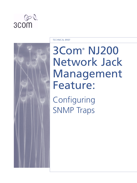



TECHNICAL BRIEF

# 3Com® NJ200 Network Jack Management Feature:

Configuring SNMP Traps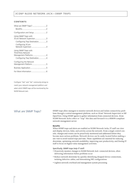#### **CONTENTS**

| Using SNMP Traps with<br>3Com Network Supervisor3                      |  |
|------------------------------------------------------------------------|--|
| Configuring Trap Destination3                                          |  |
| Configuring 3Com<br>Network Supervisor3                                |  |
| Using SNMP Traps with<br>Third-Party Network<br>Management Platforms 4 |  |
| Configuring Trap Destination4                                          |  |
| Configuring the Network<br>Management Platform5                        |  |
| Business Application 5                                                 |  |
|                                                                        |  |

Configure "Get" and "Set" community strings to match your network management platform and select which SNMP traps will be monitored by the NJ200 Network Jack.

### What are SNMP Traps?

SNMP traps allow managers to monitor network devices and isolate connectivity problems through a central management platform, such as 3Com® Network Supervisor or HP OpenView. Using SNMP agents to gather information from connected devices, 3Com NJ200 Network Jacks collect or "trap" this data and forward it to a RMON-compliant network management server.

#### **Benefits**

When SNMP traps and alerts are enabled on NJ200 Network Jacks, IT staff can view and display devices, links, and activity across the network. From a single control console, changes and events can be proactively monitored and addressed before they become more serious problems. Network devices can be easily located before making a site visit to avoid wasted trips and time. These capabilities are essential for reducing downtime, optimizing network availability, improving user productivity, and freeing IT staff to focus on higher-value management activities.

#### *Specifically, SNMP traps help IT staff:*

- Proactively monitor changes to NJ200 Network Jack–connected devices, often delivering information before problems occur
- Reduce network downtime by quickly identifying dropped device connections, isolating defective cables, and determining NIC configurations
- Lighten network overhead and management system processing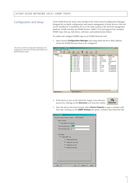## Configuration and Setup

3Com NJ200 Network Jacks come bundled with 3Com Central Configuration Manager. Designed for in-depth configuration and remote management of these devices, this tool can be installed on a standalone PC or in the same system as the network management platform. NJ200 switches use SNMP Version 1 (RFC-1157) and support four standard SNMP traps: link up, link down, cold start, and authentication failure.

To enable and configure SNMP traps on an NJ200 Network Jack:

1. Open Central *Configuration Manager* and using either the IP or MAC address, locate the NJ200 Netowrk Jack to be configured.

jack.dbf - NJ200\_CCM  $|D| \times |$  $\overline{\mathbb{R}}$ Tools Dev Help  $\boxed{1}$   $\boxed{2}$ Subnet  $\Big|$  Discov 리 / <sup>3</sup><br>Property Configure  $\frac{1}{2}$  $\overset{\bullet}{\downarrow}$ Refresh  $\frac{8}{4}$ ∦An<br>Find - Network P Address MAC Address Subnet A Group Name Location  $139.87144.0$  $\bar{\bullet}$ 139.87.144.218 00:04:75:C4:3A 139.87.144.0 Building 5.304 Training lē. 139.87.144.240 PSD SW  $5.2.174$ 00:04:75:C4:3B:. 139.87.144.0 Fourner<br>3Com Employee<br>CSO ÷ 139.87.145.35<br>139.87.145.40 00:04:75:C4:3A:...<br>00:04:75:C4:3A:... 139.87.144.0 default **●** 139.87.145.35<br> **●** 139.87.145.45<br> **●** 139.87.145.64<br>
● 139.87.145.64<br>
● 139.87.145.146<br>
● 139.87.145.158<br>
● 139.87.145.158<br>
● 139.87.145.159 3Com Building 500 00:04:75:C4:3A: 139.87.144.0 HERE 00:04:75:C4:34:..<br>00:04:75:C4:34:.. 139.87.144.0  $\overline{\text{cso}}$  $500$ 139.87.144.0 3Com BNC 3Com Building 500 00:04:75:C4:3A:...<br>00:04:75:C4:3B:... 139.87.144.0<br>139.87.144.0 3Com BNC<br>CSO 3Com Building 500<br>3Com Building 500 3Com BCC 00:04:75:C4:3A:.. 139.87.144.0 3Com Building 500 Scom Building 500 00:04:75:C4:3A:... 139.87.144.0 3Com BCC Total devices: 11 Selected devices: 0

2. If the device is not on the initial list, begin a new discover process by clicking on the *Discovery* icon from the toolbar.



3. Once the device has been located, select *Device Property* to open a window with four tabs. Clicking on the *SNMP Settings* tab opens a window that looks like this:

| Common Settings<br>M Allow SNMP "Set" Operation<br>public<br>"Get" Community String<br>"Set" Community String<br>private<br><b>Trap Settings</b><br><b>▽</b> Enable SNMP Trap<br>Enable Cold Start Trap<br><b>V</b> Enable Link Down Trap<br><b>▽</b> Enable Link Up Trap<br>Enable Auth Fail Trap | General   Hardware Settings   Statistics   SNMP Settings |  |  |
|----------------------------------------------------------------------------------------------------------------------------------------------------------------------------------------------------------------------------------------------------------------------------------------------------|----------------------------------------------------------|--|--|
|                                                                                                                                                                                                                                                                                                    |                                                          |  |  |
|                                                                                                                                                                                                                                                                                                    |                                                          |  |  |
|                                                                                                                                                                                                                                                                                                    |                                                          |  |  |
|                                                                                                                                                                                                                                                                                                    |                                                          |  |  |
|                                                                                                                                                                                                                                                                                                    |                                                          |  |  |
|                                                                                                                                                                                                                                                                                                    |                                                          |  |  |
|                                                                                                                                                                                                                                                                                                    |                                                          |  |  |
|                                                                                                                                                                                                                                                                                                    |                                                          |  |  |
|                                                                                                                                                                                                                                                                                                    |                                                          |  |  |
|                                                                                                                                                                                                                                                                                                    |                                                          |  |  |
|                                                                                                                                                                                                                                                                                                    |                                                          |  |  |
|                                                                                                                                                                                                                                                                                                    |                                                          |  |  |
|                                                                                                                                                                                                                                                                                                    |                                                          |  |  |

The 3Com Central Configuration Manager GUI enables point-and-click remote administration of NJ200 Network Jacks.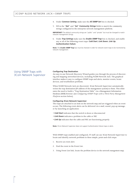- 4. Under *Common Setting*, make sure the *All SNMP Set* box is checked.
- 5. Fill in the "*Get*" and "*Set*" *Community Strings* fields to match the community strings configured in the enterprise network management platform.

**IMPORTANT!** The default community strings are "public" and "private" but must be changed to match network management strings.

6. Under *Trap Settings* make sure the *Enable SNMP Trap* box is checked, and enable any or all of the following event traps: *Cold Start*, *Link Down*, *Link Up*, *Authentication Failure*.

**Note:** The *Enable SNMP Trap* box must be checked in order for network event traps to be monitored by network management.

# Using SNMP Traps with 3Com Network Supervisor

#### **Configuring Trap Destination**

An easy-to-use Network Discovery Wizard guides you through the process of discovering and mapping networked devices, including NJ200 Network Jack. The graphical interface makes it easy to configure SNMP traps and alerts, monitor events, locate devices, and troubleshoot problems.

When NJ200 Network Jack are discovered, 3Com Network Supervisor automatically writes the trap destination (IP address of the management system) to them. This eliminates the need to build a "Trap Destination Table" via a Management Information Database (MIB) browser. (see *Configuring SNMP Traps with a Third-Party Management Platform* section below).

#### **Configuring 3Com Network Supervisor**

The traps are attached to an item on the network map and are triggered when an event occurs. The following event alerts can be delivered via e-mail, sound, pop-up message, or by launching an application:

- *Cold Start* indicates that the switch is down or disconnected
- *Link Down* indicates a problem in the cable or NIC
- *Link Up* indicates that the cable and NIC are functioning properly

**Note:** 3Com Network Supervisor does not support Authentication Failure traps or alerts.

With SNMP traps enabled and configured, IT staff can use 3Com Network Supervisor to locate and identify network problems in three simple, point-and-click steps:

- 1. Receive an event alert.
- 2. Find the event in the Event List.
- 3. Using Event List link, locate the problem device in the network mangement map.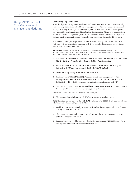# Using SNMP Traps with Third-Party Network Management Platforms

#### **Configuring Trap Destination**

Most third-party management platforms, such as HP OpenView, cannot automatically write the trap destination (IP address of management system) to NJ200 Network Jack during discovery. Although the switches support MIB-2, RMON, and SNMP agents, they cannot be configured from 3Com Central Configuration Manager to communicate with the network management platform (IP address of network management system). Instead, the trap destination must be configured through a standard MIB browser.

The following example helps illustrate how to write the trap destination to an NJ200 Network Jack Switch using a standard MIB-2 browser. In this example the receiving device uses IP address *192.168.1.1*:

**IMPORTANT!:** Please note that this procedure varies for different network management platforms. To properly configure the trap destination for your particular network management platform, please consult the software documentation for specific instructions.

- 1. Open the "*TrapDestStatus*" command line. Most often, this will can be found under *MIB-2 \_ RMON \_ ProbeConfig \_ TrapDestTable \_ TrapDestStatus*.
- 2. In dot notation, *1.3.6.1.2.1.16.19.13.1.6* represents *TrapDestStatus*. It may be indexed with "*1*" and in that case is *1.3.6.1.2.1.16.19.13.1.6.1*.
- 3. Create a row by setting *TrapDestStatus* value to 5.
- 4. Configure the *TrapDestAddress* (IP address of network management system) by setting # *0xC0 0xA8 0x01 0x01 0x00 0xA2* to *1.3.6.1.2.1.16.19.13.1.4.1*, where 1.3.6.1.2.1.16.19.13.1.4.1 represents the default address indexed with "1".
- 5. The first four bytes of the *TrapDestAddress*, "*0xC0 0xA8 0x01 0x01*", should be the IP address of the network management system, or trap receiver.

**Note:** Insert a space, not a dot "*.*", between the first four bytes.

6. The last two bytes indicate which UDP port is used to send out traps.

*Note:* Do not use any number other than *162 (0xA2)* for the last byte. NJ200 Network Jacks can only trap SNMP information through UDP port 162 (0xA2).

- 7. Enable the trap destination by setting 1 to *TrapDestStatus* object, which in this case is *1.3.6.1.2.1.16.19.13.1.6.1*.
- 8. The NJ200 Network Jack is ready to send traps to the network management system with the IP address 192.168.1.1.
- 9. Repeat these steps if additional trap destinations are needed. NJ200 Network Jack can support up to four different trap destinations.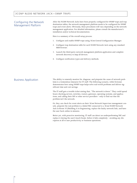# Configuring the Network Management Platform

After the NJ200 Network Jacks have been properly configured for SNMP traps and trap destination tables, the network management platform needs to be configured for SNMP traps and event alerts. Obviously, these procedures will vary depending on the network management application. For detailed information, please consult the manufacturer's installation and/or technical documentation.

Here is a summary of the overall setup process:

- 1. Configure and enable SNMP traps using 3Com Central Configuration Manager.
- 2. Configure trap destination table for each NJ200 Network Jack using any standard MIB browser.
- 3. Launch the third-party network management platform application and complete network discovery to map all devices.
- 4. Configure notification types and delivery methods.

Business Application The ability to remotely monitor for, diagnose, and pinpoint the cause of network problems is a tremendous timesaver for IT staff. The following scenario, while fictional, demonstrates how using SNMP traps helps solve real-world problems and deliver significant time and cost savings.

> The IT staff gets a trouble ticket stating that, "The network is down." They could spend hours checking servers, switches, routers, gateways, operating systems, and applications, and calling their ISP or other service providers—only to find out that the problem isn't the network.

> Or, they can check for event alerts on their 3Com Network Supervisor management console, pinpoint the real problem to a failed NIC connected to a 3Com NJ200 Network Jack in Room 315/Building A in Engineering, replace the faulty network link, and have the user back online in minutes.

Better yet, with proactive monitoring, IT staff can detect an underperforming NIC and replace it during the user's lunch break, before it fails completely—avoiding any disruption at all to user productivity or business operations.